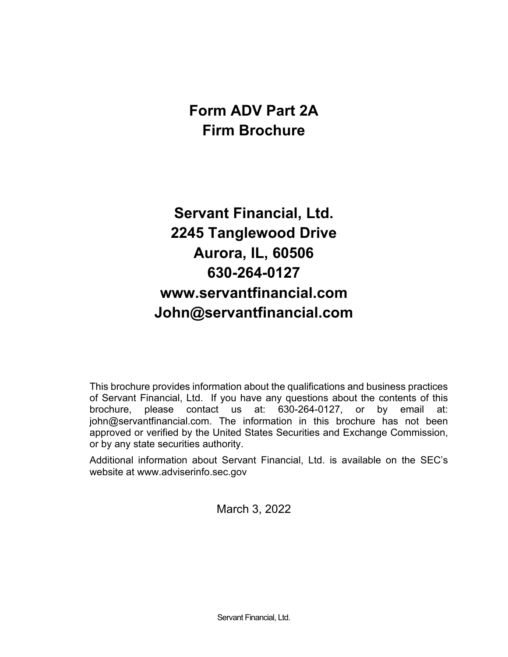# **Form ADV Part 2A Firm Brochure**

# **Servant Financial, Ltd. 2245 Tanglewood Drive Aurora, IL, 60506 630-264-0127 www.servantfinancial.com John@servantfinancial.com**

This brochure provides information about the qualifications and business practices of Servant Financial, Ltd. If you have any questions about the contents of this brochure, please contact us at: 630-264-0127, or by email at: john@servantfinancial.com. The information in this brochure has not been approved or verified by the United States Securities and Exchange Commission, or by any state securities authority.

Additional information about Servant Financial, Ltd. is available on the SEC's website at www.adviserinfo.sec.gov

March 3, 2022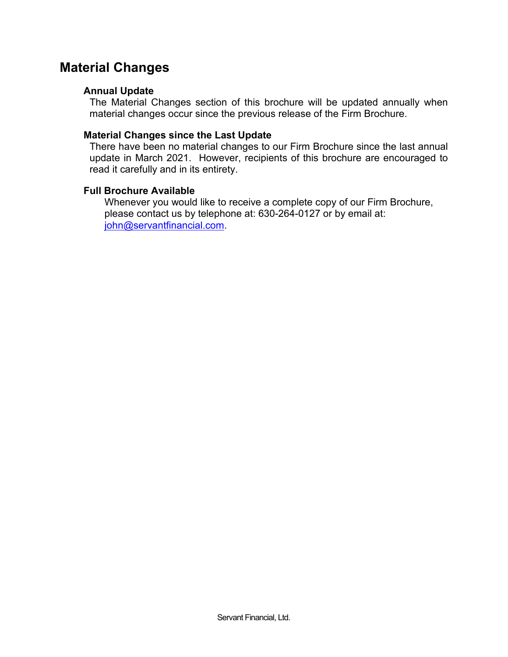### **Material Changes**

#### **Annual Update**

The Material Changes section of this brochure will be updated annually when material changes occur since the previous release of the Firm Brochure.

#### **Material Changes since the Last Update**

There have been no material changes to our Firm Brochure since the last annual update in March 2021. However, recipients of this brochure are encouraged to read it carefully and in its entirety.

#### **Full Brochure Available**

Whenever you would like to receive a complete copy of our Firm Brochure, please contact us by telephone at: 630-264-0127 or by email at: [john@servantfinancial.com.](mailto:john@servantfinancial.com)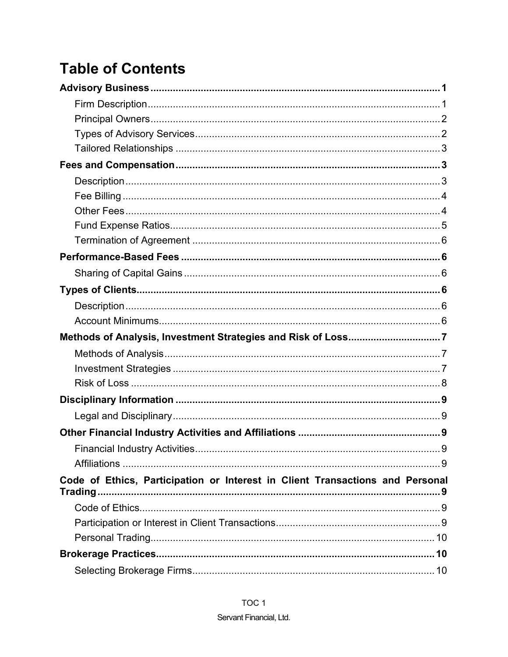# **Table of Contents**

| Code of Ethics, Participation or Interest in Client Transactions and Personal |  |
|-------------------------------------------------------------------------------|--|
|                                                                               |  |
|                                                                               |  |
|                                                                               |  |
|                                                                               |  |
|                                                                               |  |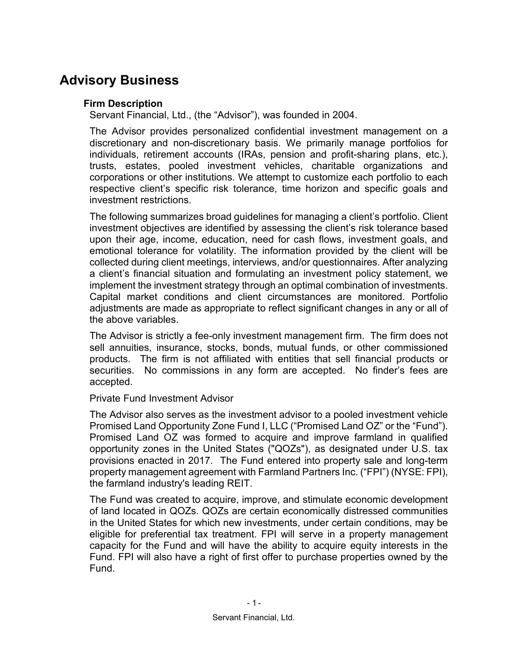### **Advisory Business**

#### **Firm Description**

Servant Financial, Ltd., (the "Advisor"), was founded in 2004.

The Advisor provides personalized confidential investment management on a discretionary and non-discretionary basis. We primarily manage portfolios for individuals, retirement accounts (IRAs, pension and profit-sharing plans, etc.), trusts, estates, pooled investment vehicles, charitable organizations and corporations or other institutions. We attempt to customize each portfolio to each respective client's specific risk tolerance, time horizon and specific goals and investment restrictions.

The following summarizes broad guidelines for managing a client's portfolio. Client investment objectives are identified by assessing the client's risk tolerance based upon their age, income, education, need for cash flows, investment goals, and emotional tolerance for volatility. The information provided by the client will be collected during client meetings, interviews, and/or questionnaires. After analyzing a client's financial situation and formulating an investment policy statement, we implement the investment strategy through an optimal combination of investments. Capital market conditions and client circumstances are monitored. Portfolio adjustments are made as appropriate to reflect significant changes in any or all of the above variables.

The Advisor is strictly a fee-only investment management firm. The firm does not sell annuities, insurance, stocks, bonds, mutual funds, or other commissioned products. The firm is not affiliated with entities that sell financial products or securities. No commissions in any form are accepted. No finder's fees are accepted.

#### Private Fund Investment Advisor

The Advisor also serves as the investment advisor to a pooled investment vehicle Promised Land Opportunity Zone Fund I, LLC ("Promised Land OZ" or the "Fund"). Promised Land OZ was formed to acquire and improve farmland in qualified opportunity zones in the United States ("QOZs"), as designated under U.S. tax provisions enacted in 2017. The Fund entered into property sale and long-term property management agreement with Farmland Partners Inc. ("FPI") (NYSE: FPI), the farmland industry's leading REIT.

The Fund was created to acquire, improve, and stimulate economic development of land located in QOZs. QOZs are certain economically distressed communities in the United States for which new investments, under certain conditions, may be eligible for preferential tax treatment. FPI will serve in a property management capacity for the Fund and will have the ability to acquire equity interests in the Fund. FPI will also have a right of first offer to purchase properties owned by the Fund.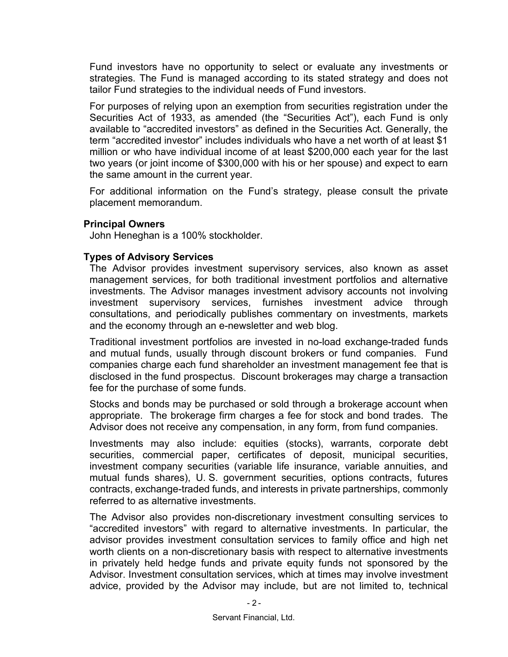Fund investors have no opportunity to select or evaluate any investments or strategies. The Fund is managed according to its stated strategy and does not tailor Fund strategies to the individual needs of Fund investors.

For purposes of relying upon an exemption from securities registration under the Securities Act of 1933, as amended (the "Securities Act"), each Fund is only available to "accredited investors" as defined in the Securities Act. Generally, the term "accredited investor" includes individuals who have a net worth of at least \$1 million or who have individual income of at least \$200,000 each year for the last two years (or joint income of \$300,000 with his or her spouse) and expect to earn the same amount in the current year.

For additional information on the Fund's strategy, please consult the private placement memorandum.

#### **Principal Owners**

John Heneghan is a 100% stockholder.

#### **Types of Advisory Services**

The Advisor provides investment supervisory services, also known as asset management services, for both traditional investment portfolios and alternative investments. The Advisor manages investment advisory accounts not involving investment supervisory services, furnishes investment advice through consultations, and periodically publishes commentary on investments, markets and the economy through an e-newsletter and web blog.

Traditional investment portfolios are invested in no-load exchange-traded funds and mutual funds, usually through discount brokers or fund companies. Fund companies charge each fund shareholder an investment management fee that is disclosed in the fund prospectus. Discount brokerages may charge a transaction fee for the purchase of some funds.

Stocks and bonds may be purchased or sold through a brokerage account when appropriate. The brokerage firm charges a fee for stock and bond trades. The Advisor does not receive any compensation, in any form, from fund companies.

Investments may also include: equities (stocks), warrants, corporate debt securities, commercial paper, certificates of deposit, municipal securities, investment company securities (variable life insurance, variable annuities, and mutual funds shares), U. S. government securities, options contracts, futures contracts, exchange-traded funds, and interests in private partnerships, commonly referred to as alternative investments.

The Advisor also provides non-discretionary investment consulting services to "accredited investors" with regard to alternative investments. In particular, the advisor provides investment consultation services to family office and high net worth clients on a non-discretionary basis with respect to alternative investments in privately held hedge funds and private equity funds not sponsored by the Advisor. Investment consultation services, which at times may involve investment advice, provided by the Advisor may include, but are not limited to, technical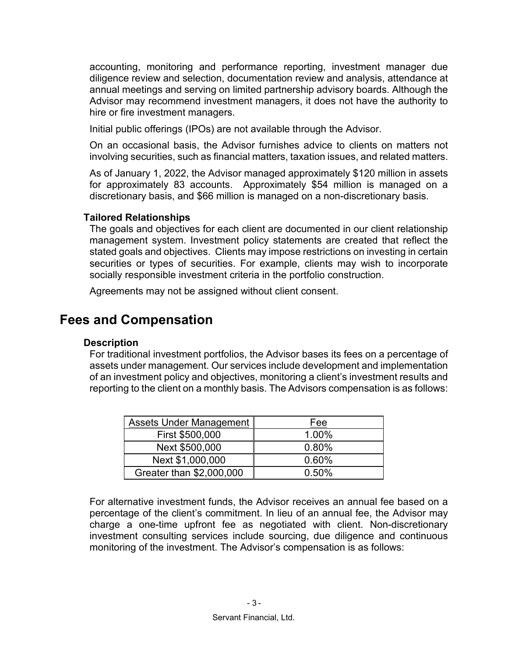accounting, monitoring and performance reporting, investment manager due diligence review and selection, documentation review and analysis, attendance at annual meetings and serving on limited partnership advisory boards. Although the Advisor may recommend investment managers, it does not have the authority to hire or fire investment managers.

Initial public offerings (IPOs) are not available through the Advisor.

On an occasional basis, the Advisor furnishes advice to clients on matters not involving securities, such as financial matters, taxation issues, and related matters.

As of January 1, 2022, the Advisor managed approximately \$120 million in assets for approximately 83 accounts. Approximately \$54 million is managed on a discretionary basis, and \$66 million is managed on a non-discretionary basis.

#### **Tailored Relationships**

The goals and objectives for each client are documented in our client relationship management system. Investment policy statements are created that reflect the stated goals and objectives. Clients may impose restrictions on investing in certain securities or types of securities. For example, clients may wish to incorporate socially responsible investment criteria in the portfolio construction.

Agreements may not be assigned without client consent.

### **Fees and Compensation**

#### **Description**

For traditional investment portfolios, the Advisor bases its fees on a percentage of assets under management. Our services include development and implementation of an investment policy and objectives, monitoring a client's investment results and reporting to the client on a monthly basis. The Advisors compensation is as follows:

| Assets Under Management  | Fee   |
|--------------------------|-------|
| First \$500,000          | 1.00% |
| Next \$500,000           | 0.80% |
| Next \$1,000,000         | 0.60% |
| Greater than \$2,000,000 | 0.50% |

For alternative investment funds, the Advisor receives an annual fee based on a percentage of the client's commitment. In lieu of an annual fee, the Advisor may charge a one-time upfront fee as negotiated with client. Non-discretionary investment consulting services include sourcing, due diligence and continuous monitoring of the investment. The Advisor's compensation is as follows: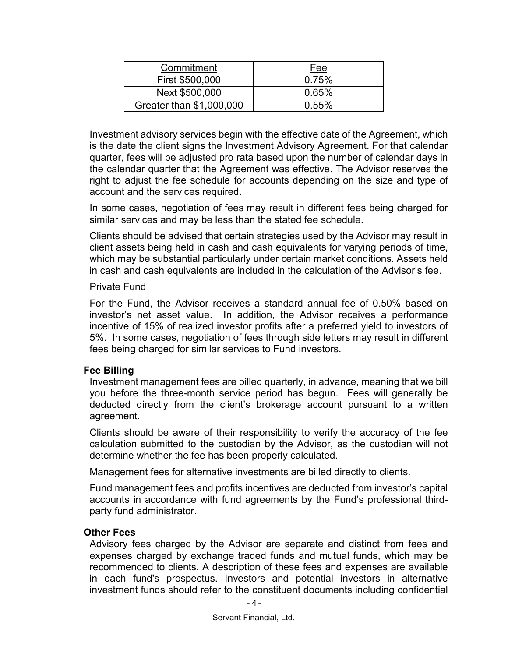| Commitment               | Fee   |
|--------------------------|-------|
| First \$500,000          | 0.75% |
| Next \$500,000           | 0.65% |
| Greater than \$1,000,000 | 0.55% |

Investment advisory services begin with the effective date of the Agreement, which is the date the client signs the Investment Advisory Agreement. For that calendar quarter, fees will be adjusted pro rata based upon the number of calendar days in the calendar quarter that the Agreement was effective. The Advisor reserves the right to adjust the fee schedule for accounts depending on the size and type of account and the services required.

In some cases, negotiation of fees may result in different fees being charged for similar services and may be less than the stated fee schedule.

Clients should be advised that certain strategies used by the Advisor may result in client assets being held in cash and cash equivalents for varying periods of time, which may be substantial particularly under certain market conditions. Assets held in cash and cash equivalents are included in the calculation of the Advisor's fee.

#### Private Fund

For the Fund, the Advisor receives a standard annual fee of 0.50% based on investor's net asset value. In addition, the Advisor receives a performance incentive of 15% of realized investor profits after a preferred yield to investors of 5%. In some cases, negotiation of fees through side letters may result in different fees being charged for similar services to Fund investors.

#### **Fee Billing**

Investment management fees are billed quarterly, in advance, meaning that we bill you before the three-month service period has begun. Fees will generally be deducted directly from the client's brokerage account pursuant to a written agreement.

Clients should be aware of their responsibility to verify the accuracy of the fee calculation submitted to the custodian by the Advisor, as the custodian will not determine whether the fee has been properly calculated.

Management fees for alternative investments are billed directly to clients.

Fund management fees and profits incentives are deducted from investor's capital accounts in accordance with fund agreements by the Fund's professional thirdparty fund administrator.

#### **Other Fees**

Advisory fees charged by the Advisor are separate and distinct from fees and expenses charged by exchange traded funds and mutual funds, which may be recommended to clients. A description of these fees and expenses are available in each fund's prospectus. Investors and potential investors in alternative investment funds should refer to the constituent documents including confidential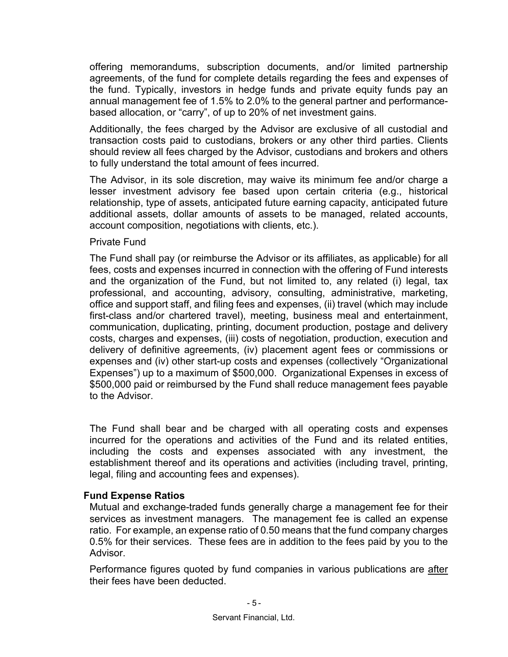offering memorandums, subscription documents, and/or limited partnership agreements, of the fund for complete details regarding the fees and expenses of the fund. Typically, investors in hedge funds and private equity funds pay an annual management fee of 1.5% to 2.0% to the general partner and performancebased allocation, or "carry", of up to 20% of net investment gains.

Additionally, the fees charged by the Advisor are exclusive of all custodial and transaction costs paid to custodians, brokers or any other third parties. Clients should review all fees charged by the Advisor, custodians and brokers and others to fully understand the total amount of fees incurred.

The Advisor, in its sole discretion, may waive its minimum fee and/or charge a lesser investment advisory fee based upon certain criteria (e.g., historical relationship, type of assets, anticipated future earning capacity, anticipated future additional assets, dollar amounts of assets to be managed, related accounts, account composition, negotiations with clients, etc.).

#### Private Fund

The Fund shall pay (or reimburse the Advisor or its affiliates, as applicable) for all fees, costs and expenses incurred in connection with the offering of Fund interests and the organization of the Fund, but not limited to, any related (i) legal, tax professional, and accounting, advisory, consulting, administrative, marketing, office and support staff, and filing fees and expenses, (ii) travel (which may include first-class and/or chartered travel), meeting, business meal and entertainment, communication, duplicating, printing, document production, postage and delivery costs, charges and expenses, (iii) costs of negotiation, production, execution and delivery of definitive agreements, (iv) placement agent fees or commissions or expenses and (iv) other start-up costs and expenses (collectively "Organizational Expenses") up to a maximum of \$500,000. Organizational Expenses in excess of \$500,000 paid or reimbursed by the Fund shall reduce management fees payable to the Advisor.

The Fund shall bear and be charged with all operating costs and expenses incurred for the operations and activities of the Fund and its related entities, including the costs and expenses associated with any investment, the establishment thereof and its operations and activities (including travel, printing, legal, filing and accounting fees and expenses).

#### **Fund Expense Ratios**

Mutual and exchange-traded funds generally charge a management fee for their services as investment managers. The management fee is called an expense ratio. For example, an expense ratio of 0.50 means that the fund company charges 0.5% for their services. These fees are in addition to the fees paid by you to the Advisor.

Performance figures quoted by fund companies in various publications are after their fees have been deducted.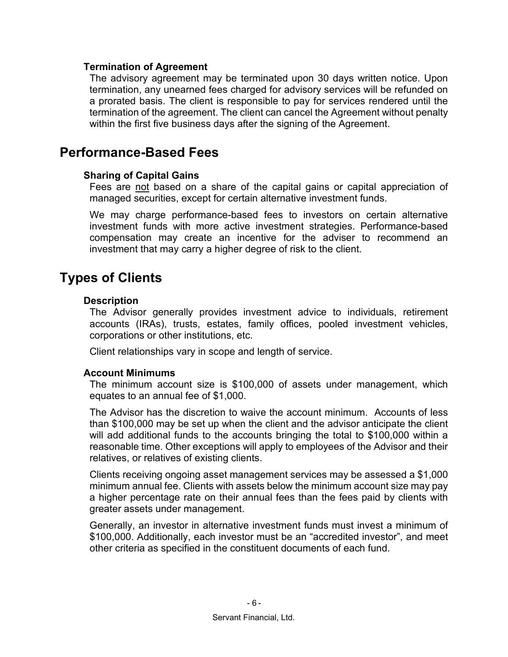#### **Termination of Agreement**

The advisory agreement may be terminated upon 30 days written notice. Upon termination, any unearned fees charged for advisory services will be refunded on a prorated basis. The client is responsible to pay for services rendered until the termination of the agreement. The client can cancel the Agreement without penalty within the first five business days after the signing of the Agreement.

### **Performance-Based Fees**

#### **Sharing of Capital Gains**

Fees are not based on a share of the capital gains or capital appreciation of managed securities, except for certain alternative investment funds.

We may charge performance-based fees to investors on certain alternative investment funds with more active investment strategies. Performance-based compensation may create an incentive for the adviser to recommend an investment that may carry a higher degree of risk to the client.

### **Types of Clients**

#### **Description**

The Advisor generally provides investment advice to individuals, retirement accounts (IRAs), trusts, estates, family offices, pooled investment vehicles, corporations or other institutions, etc.

Client relationships vary in scope and length of service.

#### **Account Minimums**

The minimum account size is \$100,000 of assets under management, which equates to an annual fee of \$1,000.

The Advisor has the discretion to waive the account minimum. Accounts of less than \$100,000 may be set up when the client and the advisor anticipate the client will add additional funds to the accounts bringing the total to \$100,000 within a reasonable time. Other exceptions will apply to employees of the Advisor and their relatives, or relatives of existing clients.

Clients receiving ongoing asset management services may be assessed a \$1,000 minimum annual fee. Clients with assets below the minimum account size may pay a higher percentage rate on their annual fees than the fees paid by clients with greater assets under management.

Generally, an investor in alternative investment funds must invest a minimum of \$100,000. Additionally, each investor must be an "accredited investor", and meet other criteria as specified in the constituent documents of each fund.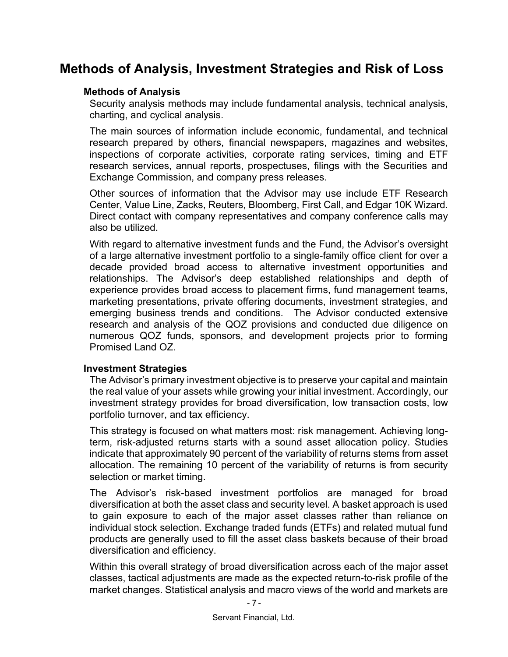### **Methods of Analysis, Investment Strategies and Risk of Loss**

#### **Methods of Analysis**

Security analysis methods may include fundamental analysis, technical analysis, charting, and cyclical analysis.

The main sources of information include economic, fundamental, and technical research prepared by others, financial newspapers, magazines and websites, inspections of corporate activities, corporate rating services, timing and ETF research services, annual reports, prospectuses, filings with the Securities and Exchange Commission, and company press releases.

Other sources of information that the Advisor may use include ETF Research Center, Value Line, Zacks, Reuters, Bloomberg, First Call, and Edgar 10K Wizard. Direct contact with company representatives and company conference calls may also be utilized.

With regard to alternative investment funds and the Fund, the Advisor's oversight of a large alternative investment portfolio to a single-family office client for over a decade provided broad access to alternative investment opportunities and relationships. The Advisor's deep established relationships and depth of experience provides broad access to placement firms, fund management teams, marketing presentations, private offering documents, investment strategies, and emerging business trends and conditions. The Advisor conducted extensive research and analysis of the QOZ provisions and conducted due diligence on numerous QOZ funds, sponsors, and development projects prior to forming Promised Land OZ.

#### **Investment Strategies**

The Advisor's primary investment objective is to preserve your capital and maintain the real value of your assets while growing your initial investment. Accordingly, our investment strategy provides for broad diversification, low transaction costs, low portfolio turnover, and tax efficiency.

This strategy is focused on what matters most: risk management. Achieving longterm, risk-adjusted returns starts with a sound asset allocation policy. Studies indicate that approximately 90 percent of the variability of returns stems from asset allocation. The remaining 10 percent of the variability of returns is from security selection or market timing.

The Advisor's risk-based investment portfolios are managed for broad diversification at both the asset class and security level. A basket approach is used to gain exposure to each of the major asset classes rather than reliance on individual stock selection. Exchange traded funds (ETFs) and related mutual fund products are generally used to fill the asset class baskets because of their broad diversification and efficiency.

Within this overall strategy of broad diversification across each of the major asset classes, tactical adjustments are made as the expected return-to-risk profile of the market changes. Statistical analysis and macro views of the world and markets are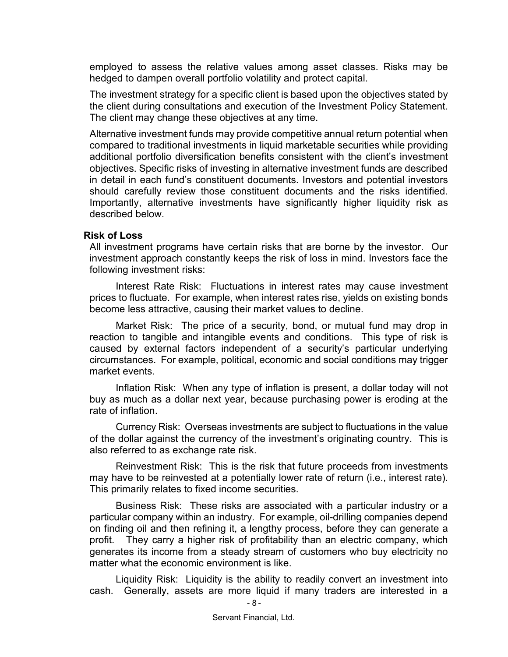employed to assess the relative values among asset classes. Risks may be hedged to dampen overall portfolio volatility and protect capital.

The investment strategy for a specific client is based upon the objectives stated by the client during consultations and execution of the Investment Policy Statement. The client may change these objectives at any time.

Alternative investment funds may provide competitive annual return potential when compared to traditional investments in liquid marketable securities while providing additional portfolio diversification benefits consistent with the client's investment objectives. Specific risks of investing in alternative investment funds are described in detail in each fund's constituent documents. Investors and potential investors should carefully review those constituent documents and the risks identified. Importantly, alternative investments have significantly higher liquidity risk as described below.

#### **Risk of Loss**

All investment programs have certain risks that are borne by the investor. Our investment approach constantly keeps the risk of loss in mind. Investors face the following investment risks:

Interest Rate Risk: Fluctuations in interest rates may cause investment prices to fluctuate. For example, when interest rates rise, yields on existing bonds become less attractive, causing their market values to decline.

Market Risk: The price of a security, bond, or mutual fund may drop in reaction to tangible and intangible events and conditions. This type of risk is caused by external factors independent of a security's particular underlying circumstances. For example, political, economic and social conditions may trigger market events.

Inflation Risk: When any type of inflation is present, a dollar today will not buy as much as a dollar next year, because purchasing power is eroding at the rate of inflation.

Currency Risk: Overseas investments are subject to fluctuations in the value of the dollar against the currency of the investment's originating country. This is also referred to as exchange rate risk.

Reinvestment Risk: This is the risk that future proceeds from investments may have to be reinvested at a potentially lower rate of return (i.e., interest rate). This primarily relates to fixed income securities.

Business Risk: These risks are associated with a particular industry or a particular company within an industry. For example, oil-drilling companies depend on finding oil and then refining it, a lengthy process, before they can generate a profit. They carry a higher risk of profitability than an electric company, which generates its income from a steady stream of customers who buy electricity no matter what the economic environment is like.

Liquidity Risk: Liquidity is the ability to readily convert an investment into cash. Generally, assets are more liquid if many traders are interested in a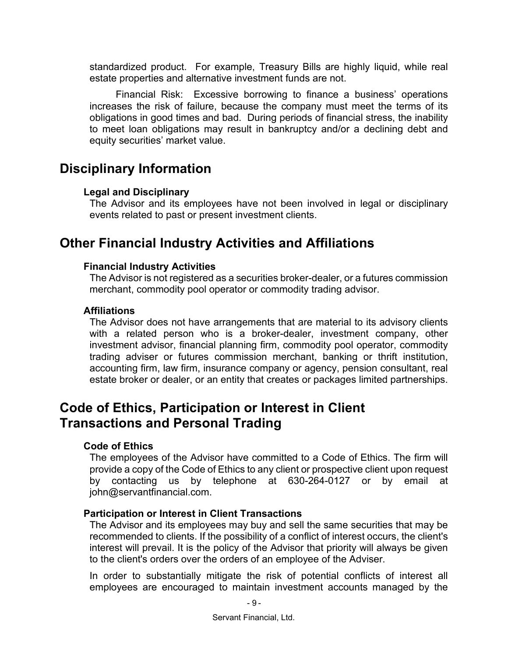standardized product. For example, Treasury Bills are highly liquid, while real estate properties and alternative investment funds are not.

Financial Risk: Excessive borrowing to finance a business' operations increases the risk of failure, because the company must meet the terms of its obligations in good times and bad. During periods of financial stress, the inability to meet loan obligations may result in bankruptcy and/or a declining debt and equity securities' market value.

### **Disciplinary Information**

#### **Legal and Disciplinary**

The Advisor and its employees have not been involved in legal or disciplinary events related to past or present investment clients.

### **Other Financial Industry Activities and Affiliations**

#### **Financial Industry Activities**

The Advisor is not registered as a securities broker-dealer, or a futures commission merchant, commodity pool operator or commodity trading advisor.

#### **Affiliations**

The Advisor does not have arrangements that are material to its advisory clients with a related person who is a broker-dealer, investment company, other investment advisor, financial planning firm, commodity pool operator, commodity trading adviser or futures commission merchant, banking or thrift institution, accounting firm, law firm, insurance company or agency, pension consultant, real estate broker or dealer, or an entity that creates or packages limited partnerships.

### **Code of Ethics, Participation or Interest in Client Transactions and Personal Trading**

#### **Code of Ethics**

The employees of the Advisor have committed to a Code of Ethics. The firm will provide a copy of the Code of Ethics to any client or prospective client upon request by contacting us by telephone at 630-264-0127 or by email at john@servantfinancial.com.

#### **Participation or Interest in Client Transactions**

The Advisor and its employees may buy and sell the same securities that may be recommended to clients. If the possibility of a conflict of interest occurs, the client's interest will prevail. It is the policy of the Advisor that priority will always be given to the client's orders over the orders of an employee of the Adviser.

In order to substantially mitigate the risk of potential conflicts of interest all employees are encouraged to maintain investment accounts managed by the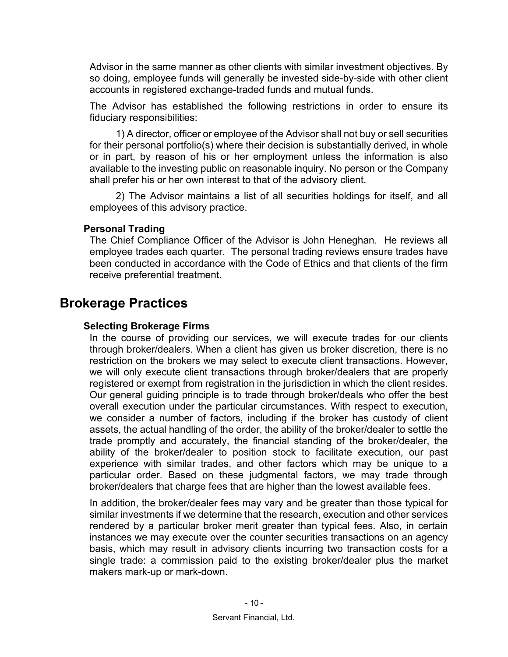Advisor in the same manner as other clients with similar investment objectives. By so doing, employee funds will generally be invested side-by-side with other client accounts in registered exchange-traded funds and mutual funds.

The Advisor has established the following restrictions in order to ensure its fiduciary responsibilities:

1) A director, officer or employee of the Advisor shall not buy or sell securities for their personal portfolio(s) where their decision is substantially derived, in whole or in part, by reason of his or her employment unless the information is also available to the investing public on reasonable inquiry. No person or the Company shall prefer his or her own interest to that of the advisory client.

2) The Advisor maintains a list of all securities holdings for itself, and all employees of this advisory practice.

#### **Personal Trading**

The Chief Compliance Officer of the Advisor is John Heneghan. He reviews all employee trades each quarter. The personal trading reviews ensure trades have been conducted in accordance with the Code of Ethics and that clients of the firm receive preferential treatment.

### **Brokerage Practices**

#### **Selecting Brokerage Firms**

In the course of providing our services, we will execute trades for our clients through broker/dealers. When a client has given us broker discretion, there is no restriction on the brokers we may select to execute client transactions. However, we will only execute client transactions through broker/dealers that are properly registered or exempt from registration in the jurisdiction in which the client resides. Our general guiding principle is to trade through broker/deals who offer the best overall execution under the particular circumstances. With respect to execution, we consider a number of factors, including if the broker has custody of client assets, the actual handling of the order, the ability of the broker/dealer to settle the trade promptly and accurately, the financial standing of the broker/dealer, the ability of the broker/dealer to position stock to facilitate execution, our past experience with similar trades, and other factors which may be unique to a particular order. Based on these judgmental factors, we may trade through broker/dealers that charge fees that are higher than the lowest available fees.

In addition, the broker/dealer fees may vary and be greater than those typical for similar investments if we determine that the research, execution and other services rendered by a particular broker merit greater than typical fees. Also, in certain instances we may execute over the counter securities transactions on an agency basis, which may result in advisory clients incurring two transaction costs for a single trade: a commission paid to the existing broker/dealer plus the market makers mark-up or mark-down.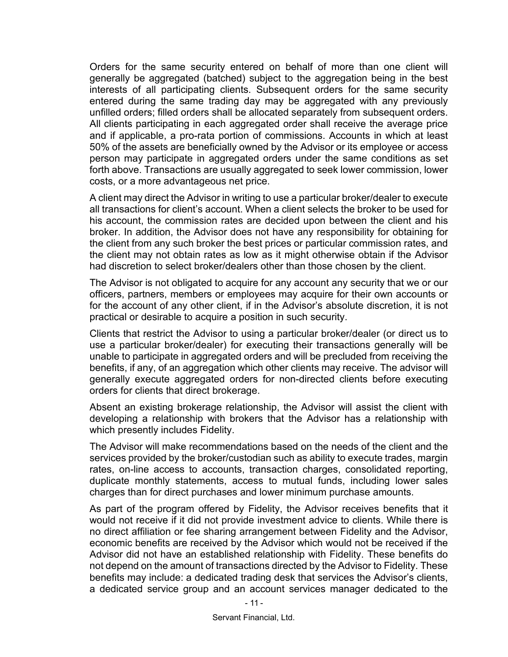Orders for the same security entered on behalf of more than one client will generally be aggregated (batched) subject to the aggregation being in the best interests of all participating clients. Subsequent orders for the same security entered during the same trading day may be aggregated with any previously unfilled orders; filled orders shall be allocated separately from subsequent orders. All clients participating in each aggregated order shall receive the average price and if applicable, a pro-rata portion of commissions. Accounts in which at least 50% of the assets are beneficially owned by the Advisor or its employee or access person may participate in aggregated orders under the same conditions as set forth above. Transactions are usually aggregated to seek lower commission, lower costs, or a more advantageous net price.

A client may direct the Advisor in writing to use a particular broker/dealer to execute all transactions for client's account. When a client selects the broker to be used for his account, the commission rates are decided upon between the client and his broker. In addition, the Advisor does not have any responsibility for obtaining for the client from any such broker the best prices or particular commission rates, and the client may not obtain rates as low as it might otherwise obtain if the Advisor had discretion to select broker/dealers other than those chosen by the client.

The Advisor is not obligated to acquire for any account any security that we or our officers, partners, members or employees may acquire for their own accounts or for the account of any other client, if in the Advisor's absolute discretion, it is not practical or desirable to acquire a position in such security.

Clients that restrict the Advisor to using a particular broker/dealer (or direct us to use a particular broker/dealer) for executing their transactions generally will be unable to participate in aggregated orders and will be precluded from receiving the benefits, if any, of an aggregation which other clients may receive. The advisor will generally execute aggregated orders for non-directed clients before executing orders for clients that direct brokerage.

Absent an existing brokerage relationship, the Advisor will assist the client with developing a relationship with brokers that the Advisor has a relationship with which presently includes Fidelity.

The Advisor will make recommendations based on the needs of the client and the services provided by the broker/custodian such as ability to execute trades, margin rates, on-line access to accounts, transaction charges, consolidated reporting, duplicate monthly statements, access to mutual funds, including lower sales charges than for direct purchases and lower minimum purchase amounts.

As part of the program offered by Fidelity, the Advisor receives benefits that it would not receive if it did not provide investment advice to clients. While there is no direct affiliation or fee sharing arrangement between Fidelity and the Advisor, economic benefits are received by the Advisor which would not be received if the Advisor did not have an established relationship with Fidelity. These benefits do not depend on the amount of transactions directed by the Advisor to Fidelity. These benefits may include: a dedicated trading desk that services the Advisor's clients, a dedicated service group and an account services manager dedicated to the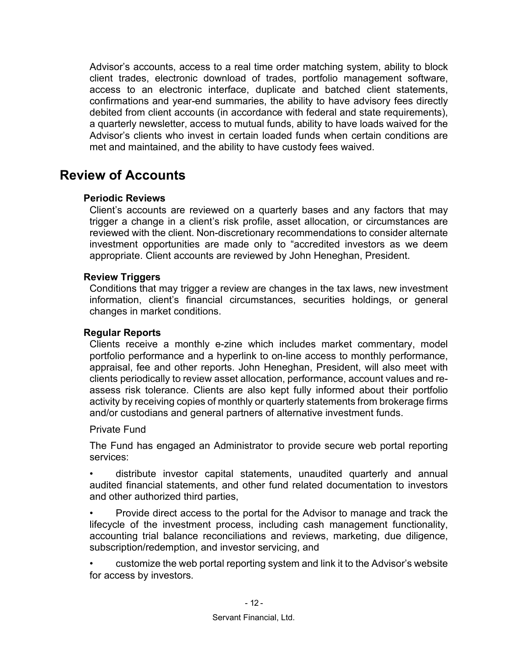Advisor's accounts, access to a real time order matching system, ability to block client trades, electronic download of trades, portfolio management software, access to an electronic interface, duplicate and batched client statements, confirmations and year-end summaries, the ability to have advisory fees directly debited from client accounts (in accordance with federal and state requirements), a quarterly newsletter, access to mutual funds, ability to have loads waived for the Advisor's clients who invest in certain loaded funds when certain conditions are met and maintained, and the ability to have custody fees waived.

### **Review of Accounts**

#### **Periodic Reviews**

Client's accounts are reviewed on a quarterly bases and any factors that may trigger a change in a client's risk profile, asset allocation, or circumstances are reviewed with the client. Non-discretionary recommendations to consider alternate investment opportunities are made only to "accredited investors as we deem appropriate. Client accounts are reviewed by John Heneghan, President.

#### **Review Triggers**

Conditions that may trigger a review are changes in the tax laws, new investment information, client's financial circumstances, securities holdings, or general changes in market conditions.

#### **Regular Reports**

Clients receive a monthly e-zine which includes market commentary, model portfolio performance and a hyperlink to on-line access to monthly performance, appraisal, fee and other reports. John Heneghan, President, will also meet with clients periodically to review asset allocation, performance, account values and reassess risk tolerance. Clients are also kept fully informed about their portfolio activity by receiving copies of monthly or quarterly statements from brokerage firms and/or custodians and general partners of alternative investment funds.

#### Private Fund

The Fund has engaged an Administrator to provide secure web portal reporting services:

• distribute investor capital statements, unaudited quarterly and annual audited financial statements, and other fund related documentation to investors and other authorized third parties,

• Provide direct access to the portal for the Advisor to manage and track the lifecycle of the investment process, including cash management functionality, accounting trial balance reconciliations and reviews, marketing, due diligence, subscription/redemption, and investor servicing, and

• customize the web portal reporting system and link it to the Advisor's website for access by investors.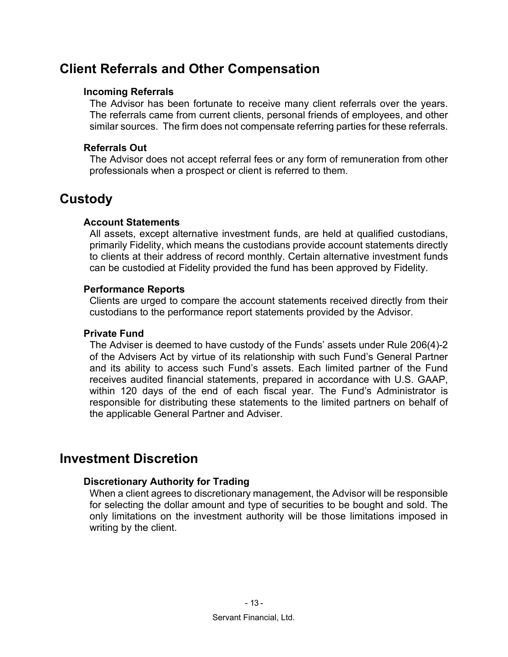### **Client Referrals and Other Compensation**

#### **Incoming Referrals**

The Advisor has been fortunate to receive many client referrals over the years. The referrals came from current clients, personal friends of employees, and other similar sources. The firm does not compensate referring parties for these referrals.

#### **Referrals Out**

The Advisor does not accept referral fees or any form of remuneration from other professionals when a prospect or client is referred to them.

### **Custody**

#### **Account Statements**

All assets, except alternative investment funds, are held at qualified custodians, primarily Fidelity, which means the custodians provide account statements directly to clients at their address of record monthly. Certain alternative investment funds can be custodied at Fidelity provided the fund has been approved by Fidelity.

#### **Performance Reports**

Clients are urged to compare the account statements received directly from their custodians to the performance report statements provided by the Advisor.

#### **Private Fund**

The Adviser is deemed to have custody of the Funds' assets under Rule 206(4)-2 of the Advisers Act by virtue of its relationship with such Fund's General Partner and its ability to access such Fund's assets. Each limited partner of the Fund receives audited financial statements, prepared in accordance with U.S. GAAP, within 120 days of the end of each fiscal year. The Fund's Administrator is responsible for distributing these statements to the limited partners on behalf of the applicable General Partner and Adviser.

### **Investment Discretion**

#### **Discretionary Authority for Trading**

When a client agrees to discretionary management, the Advisor will be responsible for selecting the dollar amount and type of securities to be bought and sold. The only limitations on the investment authority will be those limitations imposed in writing by the client.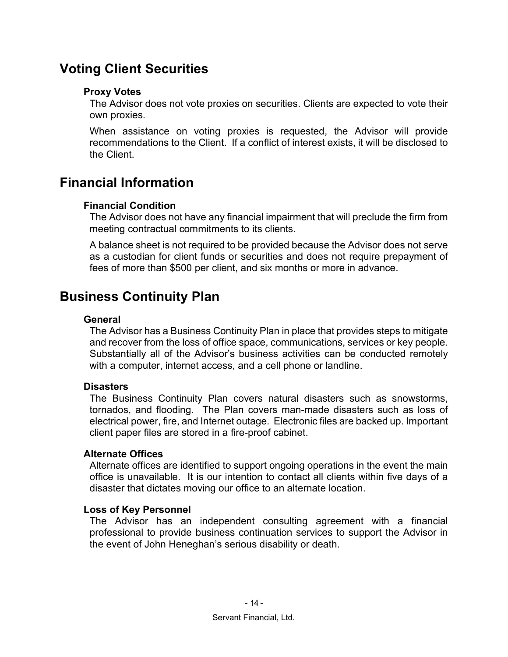### **Voting Client Securities**

#### **Proxy Votes**

The Advisor does not vote proxies on securities. Clients are expected to vote their own proxies.

When assistance on voting proxies is requested, the Advisor will provide recommendations to the Client. If a conflict of interest exists, it will be disclosed to the Client.

### **Financial Information**

#### **Financial Condition**

The Advisor does not have any financial impairment that will preclude the firm from meeting contractual commitments to its clients.

A balance sheet is not required to be provided because the Advisor does not serve as a custodian for client funds or securities and does not require prepayment of fees of more than \$500 per client, and six months or more in advance.

### **Business Continuity Plan**

#### **General**

The Advisor has a Business Continuity Plan in place that provides steps to mitigate and recover from the loss of office space, communications, services or key people. Substantially all of the Advisor's business activities can be conducted remotely with a computer, internet access, and a cell phone or landline.

#### **Disasters**

The Business Continuity Plan covers natural disasters such as snowstorms, tornados, and flooding. The Plan covers man-made disasters such as loss of electrical power, fire, and Internet outage. Electronic files are backed up. Important client paper files are stored in a fire-proof cabinet.

#### **Alternate Offices**

Alternate offices are identified to support ongoing operations in the event the main office is unavailable. It is our intention to contact all clients within five days of a disaster that dictates moving our office to an alternate location.

#### **Loss of Key Personnel**

The Advisor has an independent consulting agreement with a financial professional to provide business continuation services to support the Advisor in the event of John Heneghan's serious disability or death.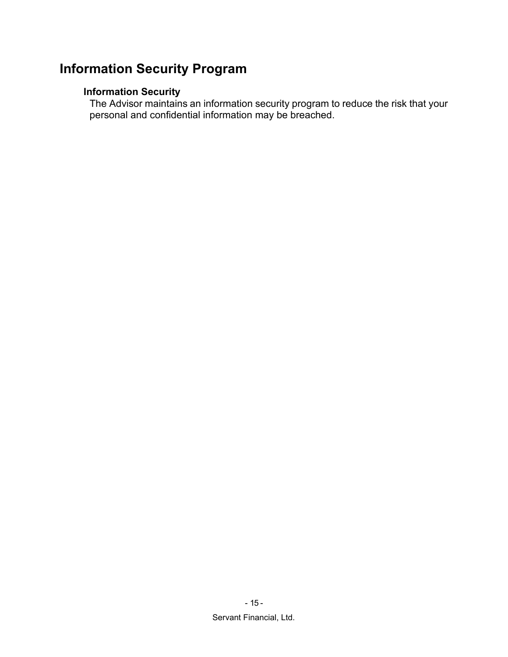## **Information Security Program**

#### **Information Security**

The Advisor maintains an information security program to reduce the risk that your personal and confidential information may be breached.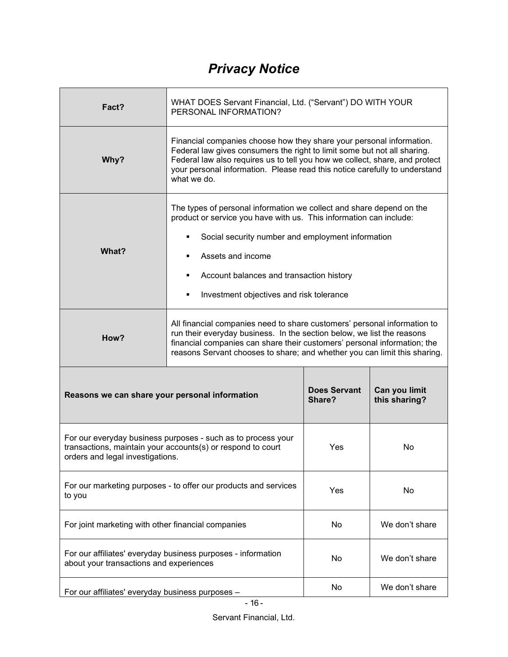# *Privacy Notice*

| Fact?                                                                                                                                                           | WHAT DOES Servant Financial, Ltd. ("Servant") DO WITH YOUR<br>PERSONAL INFORMATION?                                                                                                                                                                                                                                          |                               |                                |
|-----------------------------------------------------------------------------------------------------------------------------------------------------------------|------------------------------------------------------------------------------------------------------------------------------------------------------------------------------------------------------------------------------------------------------------------------------------------------------------------------------|-------------------------------|--------------------------------|
| Why?                                                                                                                                                            | Financial companies choose how they share your personal information.<br>Federal law gives consumers the right to limit some but not all sharing.<br>Federal law also requires us to tell you how we collect, share, and protect<br>your personal information. Please read this notice carefully to understand<br>what we do. |                               |                                |
| What?                                                                                                                                                           | The types of personal information we collect and share depend on the<br>product or service you have with us. This information can include:<br>Social security number and employment information<br>Assets and income<br>Account balances and transaction history<br>Investment objectives and risk tolerance                 |                               |                                |
| How?                                                                                                                                                            | All financial companies need to share customers' personal information to<br>run their everyday business. In the section below, we list the reasons<br>financial companies can share their customers' personal information; the<br>reasons Servant chooses to share; and whether you can limit this sharing.                  |                               |                                |
| Reasons we can share your personal information                                                                                                                  |                                                                                                                                                                                                                                                                                                                              | <b>Does Servant</b><br>Share? | Can you limit<br>this sharing? |
| For our everyday business purposes - such as to process your<br>transactions, maintain your accounts(s) or respond to court<br>orders and legal investigations. |                                                                                                                                                                                                                                                                                                                              | Yes                           | No                             |
| For our marketing purposes - to offer our products and services<br>to you                                                                                       |                                                                                                                                                                                                                                                                                                                              | Yes                           | No                             |
| For joint marketing with other financial companies                                                                                                              |                                                                                                                                                                                                                                                                                                                              | No                            | We don't share                 |
| For our affiliates' everyday business purposes - information<br>about your transactions and experiences                                                         |                                                                                                                                                                                                                                                                                                                              | No                            | We don't share                 |
| For our affiliates' everyday business purposes -                                                                                                                |                                                                                                                                                                                                                                                                                                                              | No                            | We don't share                 |